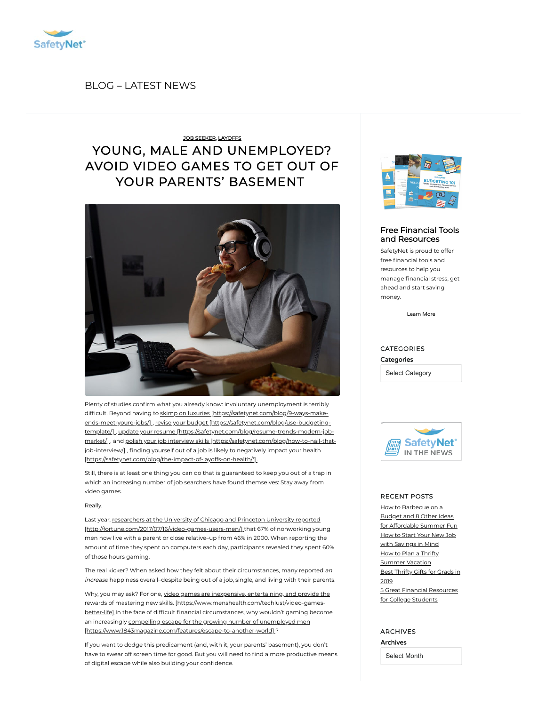

BLOG [– LATEST](https://safetynet.com/blog/all-posts/) NEWS

## YOUNG, MALE AND [UNEMPLOYED?](https://safetynet.com/blog/young-male-and-unemployed-video-games/) AVOID VIDEO GAMES TO GET OUT OF YOUR PARENTS' BASEMENT JOB [SEEKER,](https://safetynet.com/blog/category/tips-advice/job-seeker/) [LAYOFFS](https://safetynet.com/blog/category/tips-advice/layoffs/)



Plenty of studies confirm what you already know: involuntary unemployment is terribly difficult. Beyond having to skimp on luxuries [https://safetynet.com/blog/9-ways-makeends-meet-youre-jobs/] , revise your budget [\[https://safetynet.com/blog/use-budgeting](https://safetynet.com/blog/9-ways-make-ends-meet-youre-jobs/)template/] , update your resume [\[https://safetynet.com/blog/resume-trends-modern-jo](https://safetynet.com/blog/use-budgeting-template/)[b-](https://safetynet.com/blog/resume-trends-modern-job-market/) market/], and polish your job interview skills [\[https://safetynet.com/blog/how-to-nail-that](https://safetynet.com/blog/how-to-nail-that-job-interview/)job-interview/], finding yourself out of a job is likely to negatively impact your health [\[https://safetynet.com/blog/the-impact-of-layoffs-on-health/'\]](https://safetynet.com/blog/the-impact-of-layoffs-on-health/) .

Still, there is at least one thing you can do that is guaranteed to keep you out of a trap in which an increasing number of job searchers have found themselves: Stay away from video games.

#### Really.

Last year, researchers at the University of Chicago and Princeton University reported [\[http://fortune.com/2017/07/16/video-games-users-men/\]](http://fortune.com/2017/07/16/video-games-users-men/) that 67% of nonworking young men now live with a parent or close relative–up from 46% in 2000. When reporting the amount of time they spent on computers each day, participants revealed they spent 60% of those hours gaming.

The real kicker? When asked how they felt about their circumstances, many reported an increase happiness overall–despite being out of a job, single, and living with their parents.

Why, you may ask? For one, video games are inexpensive, entertaining, and provide the rewards of mastering new skills. [\[https://www.menshealth.com/techlust/video-games](https://www.menshealth.com/techlust/video-games-better-life)better-life] In the face of difficult financial circumstances, why wouldn't gaming become an increasingly compelling escape for the growing number of unemployed men [\[https://www.1843magazine.com/features/escape-to-another-world\]](https://www.1843magazine.com/features/escape-to-another-world) ?

If you want to dodge this predicament (and, with it, your parents' basement), you don't have to swear off screen time for good. But you will need to find a more productive means of digital escape while also building your confidence.



#### Free Financial Tools and [Resources](https://safetynet.com/blog/resources/)

SafetyNet is proud to offer free financial tools and resources to help you manage financial stress, get ahead and start saving money.

[Learn](https://safetynet.com/blog/resources/) More

### CATEGORIES **Categories**

Select Category



#### RECENT POSTS

How [to Barbecue](https://safetynet.com/blog/how-to-barbecue-on-a-budget-and-8-other-ideas-for-affordable-summer-fun/) on a Budget and 8 Other Ideas for Affordable Summer Fun How to Start Your New Job with [Savings](https://safetynet.com/blog/start-your-new-job-with-savings-in-mind/) in Mind How to Plan a Thrifty [Summer](https://safetynet.com/blog/how-to-plan-a-thrifty-summer-vacation/) Vacation Best [Thrifty](https://safetynet.com/blog/best-thrifty-gifts-for-grads-in-2019/) Gifts for Grads in 2019 5 Great Financial [Resources](https://safetynet.com/blog/5-great-financial-resources-for-college-students/) for College Students

#### ARCHIVES Archives

Select Month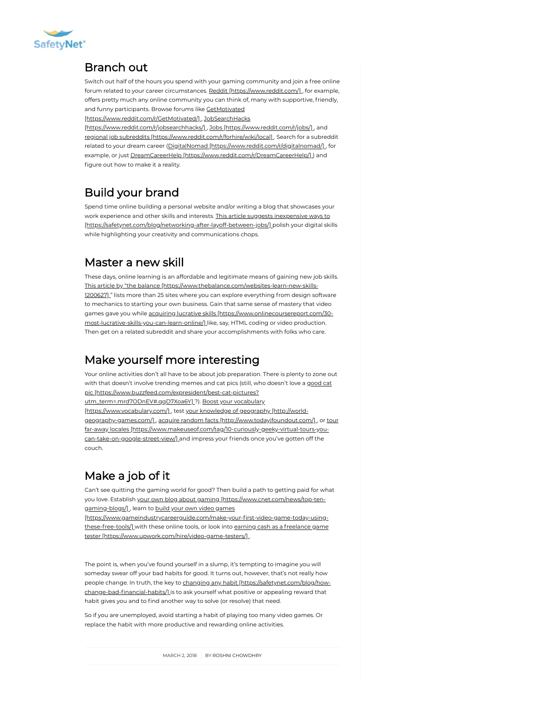

### Branch out

Switch out half of the hours you spend with your gaming community and join a free online forum related to your career circumstances. Reddit [\[https://www.reddit.com/\]](https://www.reddit.com/), for example, offers pretty much any online community you can think of, many with supportive, friendly, and funny participants. Browse forums like GetMotivated

[\[https://www.reddit.com/r/GetMotivated/\]](https://www.reddit.com/r/GetMotivated/) , JobSearchHacks

[\[https://www.reddit.com/r/jobsearchhacks/\]](https://www.reddit.com/r/jobsearchhacks/), Jobs [\[https://www.reddit.com/r/jobs/\]](https://www.reddit.com/r/jobs/), and regional job subreddits [\[https://www.reddit.com/r/forhire/wiki/local\]](https://www.reddit.com/r/forhire/wiki/local) . Search for a subreddit related to your dream career (DigitalNomad [\[https://www.reddit.com/r/digitalnomad/\]](https://www.reddit.com/r/digitalnomad/), for example, or just DreamCareerHelp [\[https://www.reddit.com/r/DreamCareerHelp/\]](https://www.reddit.com/r/DreamCareerHelp/)] and figure out how to make it a reality.

# Build your brand

Spend time online building a personal website and/or writing a blog that showcases your work experience and other skills and interests. This article suggests inexpensive ways to [\[https://safetynet.com/blog/networking-after-layoff-between-jobs/\]](https://safetynet.com/blog/networking-after-layoff-between-jobs/) polish your digital skills while highlighting your creativity and communications chops.

### Master a new skill

These days, online learning is an affordable and legitimate means of gaining new job skills. This article by "the balance [\[https://www.thebalance.com/websites-learn-new-skills-](https://www.thebalance.com/websites-learn-new-skills-1200627)1200627] " lists more than 25 sites where you can explore everything from design software to mechanics to starting your own business. Gain that same sense of mastery that video games gave you while acquiring lucrative skills [https://www.onlinecoursereport.com/30 [most-lucrative-skills-you-can-learn-online/\]](https://www.onlinecoursereport.com/30-most-lucrative-skills-you-can-learn-online/) like, say, HTML coding or video production. Then get on a related subreddit and share your accomplishments with folks who care.

### Make yourself more interesting

Your online activities don't all have to be about job preparation. There is plenty to zone out with that doesn't involve trending memes and cat pics (still, who doesn't love a good cat pic [\[https://www.buzzfeed.com/expresident/best-cat-pictures?](https://www.buzzfeed.com/expresident/best-cat-pictures?utm_term=.mrd7ODnEV#.qqD7Xoa6Y) [utm\\_term=.mrd7ODnEV#.qqD7Xoa6Y\]](https://www.vocabulary.com/) ?). Boost your vocabulary [https://www.vocabulary.com/], test your knowledge of geography [http://world-geography-games.com/], acquire random facts [\[http://www.todayifoundout.co](http://world-geography-games.com/)[m/\]](http://www.todayifoundout.com/), or tour far-away locales [\[https://www.makeuseof.com/tag/10-curiously-geeky-virtual-tours-you](https://www.makeuseof.com/tag/10-curiously-geeky-virtual-tours-you-can-take-on-google-street-view/)can-take-on-google-street-view/] and impress your friends once you've gotten off the couch.

# Make a job of it

Can't see quitting the gaming world for good? Then build a path to getting paid for what you love. Establish your own blog about gaming [\[https://www.cnet.com/news/top-ten](https://www.cnet.com/news/top-ten-gaming-blogs/)gaming-blogs/], learn to build your own video games

[https://www.gameindustrycareerguide.com/make-your-first-video-game-today-usingthese-free-tools/] with these online tools, or look into earning cash as a freelance game tester [\[https://www.upwork.com/hire/video-game-testers/\]](https://www.upwork.com/hire/video-game-testers/) .

The point is, when you've found yourself in a slump, it's tempting to imagine you will someday swear off your bad habits for good. It turns out, however, that's not really how people change. In truth, the key to changing any habit [\[https://safetynet.com/blog/how](https://safetynet.com/blog/how-change-bad-financial-habits/)change-bad-financial-habits/] is to ask yourself what positive or appealing reward that habit gives you and to find another way to solve (or resolve) that need.

So if you are unemployed, avoid starting a habit of playing too many video games. Or replace the habit with more productive and rewarding online activities.

MARCH 2, 2018 BY ROSHNI [CHOWDHRY](https://safetynet.com/blog/author/roshni-chowdhry/)